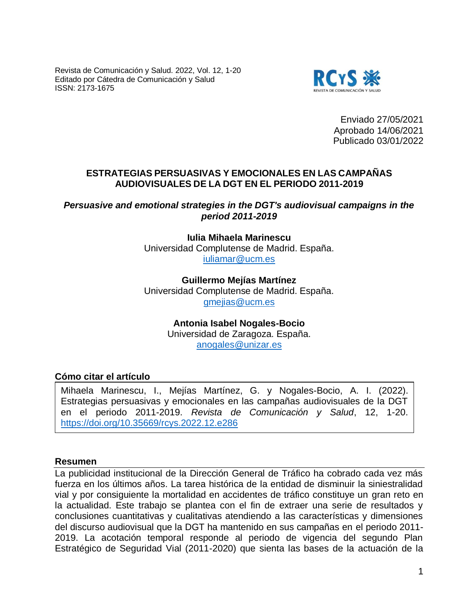Revista de Comunicación y Salud. 2022, Vol. 12, 1-20 Editado por Cátedra de Comunicación y Salud ISSN: 2173-1675



Enviado 27/05/2021 Aprobado 14/06/2021 Publicado 03/01/2022

## **ESTRATEGIAS PERSUASIVAS Y EMOCIONALES EN LAS CAMPAÑAS AUDIOVISUALES DE LA DGT EN EL PERIODO 2011-2019**

*Persuasive and emotional strategies in the DGT's audiovisual campaigns in the period 2011-2019*

## **Iulia Mihaela Marinescu**

Universidad Complutense de Madrid. España. [iuliamar@ucm.es](mailto:iuliamar@ucm.es)

**Guillermo Mejías Martínez**  Universidad Complutense de Madrid. España. [gmejias@ucm.es](mailto:gmejias@ucm.es)

> **Antonia Isabel Nogales-Bocio** Universidad de Zaragoza. España. [anogales@unizar.es](mailto:anogales@unizar.es)

## **Cómo citar el artículo**

Mihaela Marinescu, I., Mejías Martínez, G. y Nogales-Bocio, A. I. (2022). Estrategias persuasivas y emocionales en las campañas audiovisuales de la DGT en el periodo 2011-2019. *Revista de Comunicación y Salud*, 12, 1-20. <https://doi.org/10.35669/rcys.2022.12.e286>

#### **Resumen**

La publicidad institucional de la Dirección General de Tráfico ha cobrado cada vez más fuerza en los últimos años. La tarea histórica de la entidad de disminuir la siniestralidad vial y por consiguiente la mortalidad en accidentes de tráfico constituye un gran reto en la actualidad. Este trabajo se plantea con el fin de extraer una serie de resultados y conclusiones cuantitativas y cualitativas atendiendo a las características y dimensiones del discurso audiovisual que la DGT ha mantenido en sus campañas en el periodo 2011- 2019. La acotación temporal responde al periodo de vigencia del segundo Plan Estratégico de Seguridad Vial (2011-2020) que sienta las bases de la actuación de la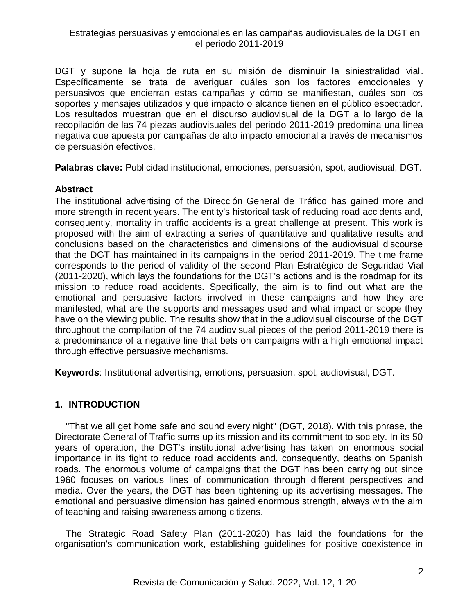DGT y supone la hoja de ruta en su misión de disminuir la siniestralidad vial. Específicamente se trata de averiguar cuáles son los factores emocionales y persuasivos que encierran estas campañas y cómo se manifiestan, cuáles son los soportes y mensajes utilizados y qué impacto o alcance tienen en el público espectador. Los resultados muestran que en el discurso audiovisual de la DGT a lo largo de la recopilación de las 74 piezas audiovisuales del periodo 2011-2019 predomina una línea negativa que apuesta por campañas de alto impacto emocional a través de mecanismos de persuasión efectivos.

**Palabras clave:** Publicidad institucional, emociones, persuasión, spot, audiovisual, DGT.

## **Abstract**

The institutional advertising of the Dirección General de Tráfico has gained more and more strength in recent years. The entity's historical task of reducing road accidents and, consequently, mortality in traffic accidents is a great challenge at present. This work is proposed with the aim of extracting a series of quantitative and qualitative results and conclusions based on the characteristics and dimensions of the audiovisual discourse that the DGT has maintained in its campaigns in the period 2011-2019. The time frame corresponds to the period of validity of the second Plan Estratégico de Seguridad Vial (2011-2020), which lays the foundations for the DGT's actions and is the roadmap for its mission to reduce road accidents. Specifically, the aim is to find out what are the emotional and persuasive factors involved in these campaigns and how they are manifested, what are the supports and messages used and what impact or scope they have on the viewing public. The results show that in the audiovisual discourse of the DGT throughout the compilation of the 74 audiovisual pieces of the period 2011-2019 there is a predominance of a negative line that bets on campaigns with a high emotional impact through effective persuasive mechanisms.

**Keywords**: Institutional advertising, emotions, persuasion, spot, audiovisual, DGT.

## **1. INTRODUCTION**

"That we all get home safe and sound every night" (DGT, 2018). With this phrase, the Directorate General of Traffic sums up its mission and its commitment to society. In its 50 years of operation, the DGT's institutional advertising has taken on enormous social importance in its fight to reduce road accidents and, consequently, deaths on Spanish roads. The enormous volume of campaigns that the DGT has been carrying out since 1960 focuses on various lines of communication through different perspectives and media. Over the years, the DGT has been tightening up its advertising messages. The emotional and persuasive dimension has gained enormous strength, always with the aim of teaching and raising awareness among citizens.

The Strategic Road Safety Plan (2011-2020) has laid the foundations for the organisation's communication work, establishing guidelines for positive coexistence in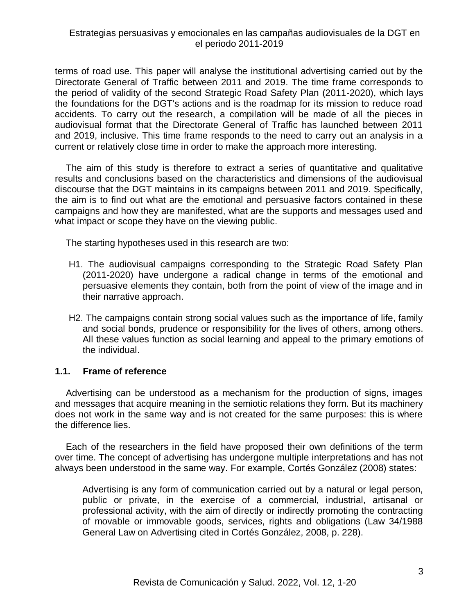terms of road use. This paper will analyse the institutional advertising carried out by the Directorate General of Traffic between 2011 and 2019. The time frame corresponds to the period of validity of the second Strategic Road Safety Plan (2011-2020), which lays the foundations for the DGT's actions and is the roadmap for its mission to reduce road accidents. To carry out the research, a compilation will be made of all the pieces in audiovisual format that the Directorate General of Traffic has launched between 2011 and 2019, inclusive. This time frame responds to the need to carry out an analysis in a current or relatively close time in order to make the approach more interesting.

The aim of this study is therefore to extract a series of quantitative and qualitative results and conclusions based on the characteristics and dimensions of the audiovisual discourse that the DGT maintains in its campaigns between 2011 and 2019. Specifically, the aim is to find out what are the emotional and persuasive factors contained in these campaigns and how they are manifested, what are the supports and messages used and what impact or scope they have on the viewing public.

The starting hypotheses used in this research are two:

- H1. The audiovisual campaigns corresponding to the Strategic Road Safety Plan (2011-2020) have undergone a radical change in terms of the emotional and persuasive elements they contain, both from the point of view of the image and in their narrative approach.
- H2. The campaigns contain strong social values such as the importance of life, family and social bonds, prudence or responsibility for the lives of others, among others. All these values function as social learning and appeal to the primary emotions of the individual.

## **1.1. Frame of reference**

Advertising can be understood as a mechanism for the production of signs, images and messages that acquire meaning in the semiotic relations they form. But its machinery does not work in the same way and is not created for the same purposes: this is where the difference lies.

Each of the researchers in the field have proposed their own definitions of the term over time. The concept of advertising has undergone multiple interpretations and has not always been understood in the same way. For example, Cortés González (2008) states:

Advertising is any form of communication carried out by a natural or legal person, public or private, in the exercise of a commercial, industrial, artisanal or professional activity, with the aim of directly or indirectly promoting the contracting of movable or immovable goods, services, rights and obligations (Law 34/1988 General Law on Advertising cited in Cortés González, 2008, p. 228).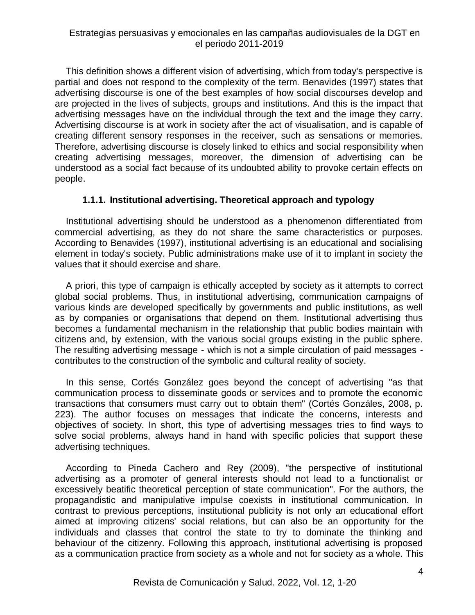This definition shows a different vision of advertising, which from today's perspective is partial and does not respond to the complexity of the term. Benavides (1997) states that advertising discourse is one of the best examples of how social discourses develop and are projected in the lives of subjects, groups and institutions. And this is the impact that advertising messages have on the individual through the text and the image they carry. Advertising discourse is at work in society after the act of visualisation, and is capable of creating different sensory responses in the receiver, such as sensations or memories. Therefore, advertising discourse is closely linked to ethics and social responsibility when creating advertising messages, moreover, the dimension of advertising can be understood as a social fact because of its undoubted ability to provoke certain effects on people.

## **1.1.1. Institutional advertising. Theoretical approach and typology**

Institutional advertising should be understood as a phenomenon differentiated from commercial advertising, as they do not share the same characteristics or purposes. According to Benavides (1997), institutional advertising is an educational and socialising element in today's society. Public administrations make use of it to implant in society the values that it should exercise and share.

A priori, this type of campaign is ethically accepted by society as it attempts to correct global social problems. Thus, in institutional advertising, communication campaigns of various kinds are developed specifically by governments and public institutions, as well as by companies or organisations that depend on them. Institutional advertising thus becomes a fundamental mechanism in the relationship that public bodies maintain with citizens and, by extension, with the various social groups existing in the public sphere. The resulting advertising message - which is not a simple circulation of paid messages contributes to the construction of the symbolic and cultural reality of society.

In this sense, Cortés González goes beyond the concept of advertising "as that communication process to disseminate goods or services and to promote the economic transactions that consumers must carry out to obtain them" (Cortés Gonzáles, 2008, p. 223). The author focuses on messages that indicate the concerns, interests and objectives of society. In short, this type of advertising messages tries to find ways to solve social problems, always hand in hand with specific policies that support these advertising techniques.

According to Pineda Cachero and Rey (2009), "the perspective of institutional advertising as a promoter of general interests should not lead to a functionalist or excessively beatific theoretical perception of state communication". For the authors, the propagandistic and manipulative impulse coexists in institutional communication. In contrast to previous perceptions, institutional publicity is not only an educational effort aimed at improving citizens' social relations, but can also be an opportunity for the individuals and classes that control the state to try to dominate the thinking and behaviour of the citizenry. Following this approach, institutional advertising is proposed as a communication practice from society as a whole and not for society as a whole. This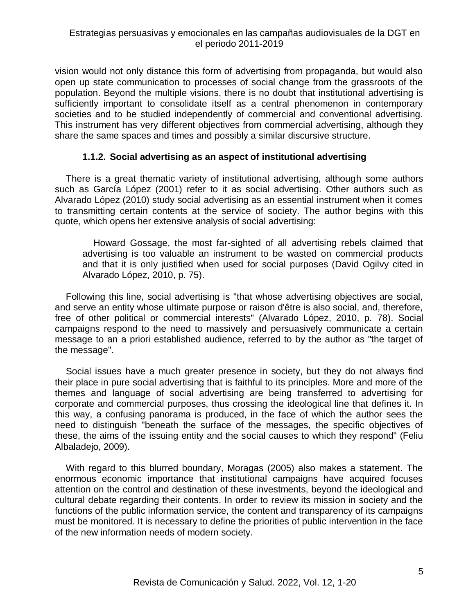vision would not only distance this form of advertising from propaganda, but would also open up state communication to processes of social change from the grassroots of the population. Beyond the multiple visions, there is no doubt that institutional advertising is sufficiently important to consolidate itself as a central phenomenon in contemporary societies and to be studied independently of commercial and conventional advertising. This instrument has very different objectives from commercial advertising, although they share the same spaces and times and possibly a similar discursive structure.

## **1.1.2. Social advertising as an aspect of institutional advertising**

There is a great thematic variety of institutional advertising, although some authors such as García López (2001) refer to it as social advertising. Other authors such as Alvarado López (2010) study social advertising as an essential instrument when it comes to transmitting certain contents at the service of society. The author begins with this quote, which opens her extensive analysis of social advertising:

Howard Gossage, the most far-sighted of all advertising rebels claimed that advertising is too valuable an instrument to be wasted on commercial products and that it is only justified when used for social purposes (David Ogilvy cited in Alvarado López, 2010, p. 75).

Following this line, social advertising is "that whose advertising objectives are social, and serve an entity whose ultimate purpose or raison d'être is also social, and, therefore, free of other political or commercial interests" (Alvarado López, 2010, p. 78). Social campaigns respond to the need to massively and persuasively communicate a certain message to an a priori established audience, referred to by the author as "the target of the message".

Social issues have a much greater presence in society, but they do not always find their place in pure social advertising that is faithful to its principles. More and more of the themes and language of social advertising are being transferred to advertising for corporate and commercial purposes, thus crossing the ideological line that defines it. In this way, a confusing panorama is produced, in the face of which the author sees the need to distinguish "beneath the surface of the messages, the specific objectives of these, the aims of the issuing entity and the social causes to which they respond" (Feliu Albaladejo, 2009).

With regard to this blurred boundary, Moragas (2005) also makes a statement. The enormous economic importance that institutional campaigns have acquired focuses attention on the control and destination of these investments, beyond the ideological and cultural debate regarding their contents. In order to review its mission in society and the functions of the public information service, the content and transparency of its campaigns must be monitored. It is necessary to define the priorities of public intervention in the face of the new information needs of modern society.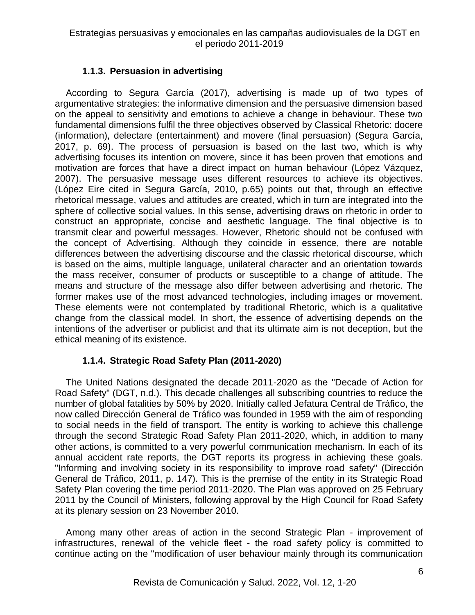# **1.1.3. Persuasion in advertising**

According to Segura García (2017), advertising is made up of two types of argumentative strategies: the informative dimension and the persuasive dimension based on the appeal to sensitivity and emotions to achieve a change in behaviour. These two fundamental dimensions fulfil the three objectives observed by Classical Rhetoric: docere (information), delectare (entertainment) and movere (final persuasion) (Segura García, 2017, p. 69). The process of persuasion is based on the last two, which is why advertising focuses its intention on movere, since it has been proven that emotions and motivation are forces that have a direct impact on human behaviour (López Vázquez, 2007). The persuasive message uses different resources to achieve its objectives. (López Eire cited in Segura García, 2010, p.65) points out that, through an effective rhetorical message, values and attitudes are created, which in turn are integrated into the sphere of collective social values. In this sense, advertising draws on rhetoric in order to construct an appropriate, concise and aesthetic language. The final objective is to transmit clear and powerful messages. However, Rhetoric should not be confused with the concept of Advertising. Although they coincide in essence, there are notable differences between the advertising discourse and the classic rhetorical discourse, which is based on the aims, multiple language, unilateral character and an orientation towards the mass receiver, consumer of products or susceptible to a change of attitude. The means and structure of the message also differ between advertising and rhetoric. The former makes use of the most advanced technologies, including images or movement. These elements were not contemplated by traditional Rhetoric, which is a qualitative change from the classical model. In short, the essence of advertising depends on the intentions of the advertiser or publicist and that its ultimate aim is not deception, but the ethical meaning of its existence.

# **1.1.4. Strategic Road Safety Plan (2011-2020)**

The United Nations designated the decade 2011-2020 as the "Decade of Action for Road Safety" (DGT, n.d.). This decade challenges all subscribing countries to reduce the number of global fatalities by 50% by 2020. Initially called Jefatura Central de Tráfico, the now called Dirección General de Tráfico was founded in 1959 with the aim of responding to social needs in the field of transport. The entity is working to achieve this challenge through the second Strategic Road Safety Plan 2011-2020, which, in addition to many other actions, is committed to a very powerful communication mechanism. In each of its annual accident rate reports, the DGT reports its progress in achieving these goals. "Informing and involving society in its responsibility to improve road safety" (Dirección General de Tráfico, 2011, p. 147). This is the premise of the entity in its Strategic Road Safety Plan covering the time period 2011-2020. The Plan was approved on 25 February 2011 by the Council of Ministers, following approval by the High Council for Road Safety at its plenary session on 23 November 2010.

Among many other areas of action in the second Strategic Plan - improvement of infrastructures, renewal of the vehicle fleet - the road safety policy is committed to continue acting on the "modification of user behaviour mainly through its communication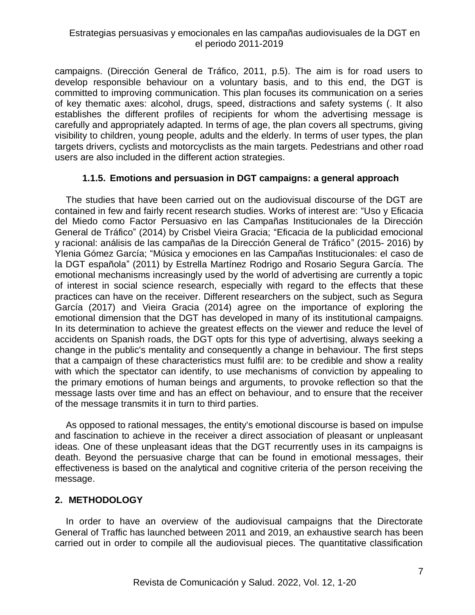campaigns. (Dirección General de Tráfico, 2011, p.5). The aim is for road users to develop responsible behaviour on a voluntary basis, and to this end, the DGT is committed to improving communication. This plan focuses its communication on a series of key thematic axes: alcohol, drugs, speed, distractions and safety systems (. It also establishes the different profiles of recipients for whom the advertising message is carefully and appropriately adapted. In terms of age, the plan covers all spectrums, giving visibility to children, young people, adults and the elderly. In terms of user types, the plan targets drivers, cyclists and motorcyclists as the main targets. Pedestrians and other road users are also included in the different action strategies.

## **1.1.5. Emotions and persuasion in DGT campaigns: a general approach**

The studies that have been carried out on the audiovisual discourse of the DGT are contained in few and fairly recent research studies. Works of interest are: "Uso y Eficacia del Miedo como Factor Persuasivo en las Campañas Institucionales de la Dirección General de Tráfico" (2014) by Crisbel Vieira Gracia; "Eficacia de la publicidad emocional y racional: análisis de las campañas de la Dirección General de Tráfico" (2015- 2016) by Ylenia Gómez García; "Música y emociones en las Campañas Institucionales: el caso de la DGT española" (2011) by Estrella Martínez Rodrigo and Rosario Segura García. The emotional mechanisms increasingly used by the world of advertising are currently a topic of interest in social science research, especially with regard to the effects that these practices can have on the receiver. Different researchers on the subject, such as Segura García (2017) and Vieira Gracia (2014) agree on the importance of exploring the emotional dimension that the DGT has developed in many of its institutional campaigns. In its determination to achieve the greatest effects on the viewer and reduce the level of accidents on Spanish roads, the DGT opts for this type of advertising, always seeking a change in the public's mentality and consequently a change in behaviour. The first steps that a campaign of these characteristics must fulfil are: to be credible and show a reality with which the spectator can identify, to use mechanisms of conviction by appealing to the primary emotions of human beings and arguments, to provoke reflection so that the message lasts over time and has an effect on behaviour, and to ensure that the receiver of the message transmits it in turn to third parties.

As opposed to rational messages, the entity's emotional discourse is based on impulse and fascination to achieve in the receiver a direct association of pleasant or unpleasant ideas. One of these unpleasant ideas that the DGT recurrently uses in its campaigns is death. Beyond the persuasive charge that can be found in emotional messages, their effectiveness is based on the analytical and cognitive criteria of the person receiving the message.

## **2. METHODOLOGY**

In order to have an overview of the audiovisual campaigns that the Directorate General of Traffic has launched between 2011 and 2019, an exhaustive search has been carried out in order to compile all the audiovisual pieces. The quantitative classification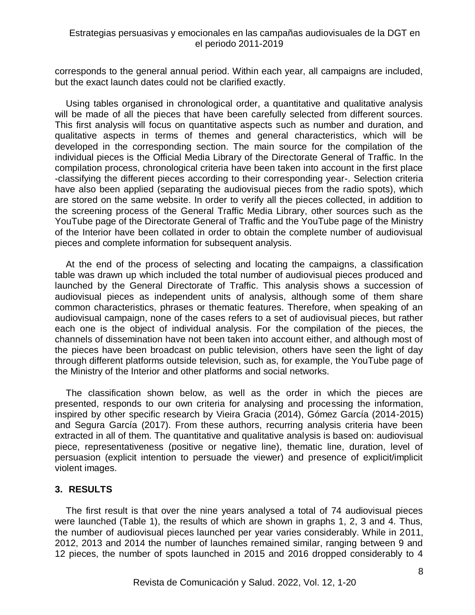corresponds to the general annual period. Within each year, all campaigns are included, but the exact launch dates could not be clarified exactly.

Using tables organised in chronological order, a quantitative and qualitative analysis will be made of all the pieces that have been carefully selected from different sources. This first analysis will focus on quantitative aspects such as number and duration, and qualitative aspects in terms of themes and general characteristics, which will be developed in the corresponding section. The main source for the compilation of the individual pieces is the Official Media Library of the Directorate General of Traffic. In the compilation process, chronological criteria have been taken into account in the first place -classifying the different pieces according to their corresponding year-. Selection criteria have also been applied (separating the audiovisual pieces from the radio spots), which are stored on the same website. In order to verify all the pieces collected, in addition to the screening process of the General Traffic Media Library, other sources such as the YouTube page of the Directorate General of Traffic and the YouTube page of the Ministry of the Interior have been collated in order to obtain the complete number of audiovisual pieces and complete information for subsequent analysis.

At the end of the process of selecting and locating the campaigns, a classification table was drawn up which included the total number of audiovisual pieces produced and launched by the General Directorate of Traffic. This analysis shows a succession of audiovisual pieces as independent units of analysis, although some of them share common characteristics, phrases or thematic features. Therefore, when speaking of an audiovisual campaign, none of the cases refers to a set of audiovisual pieces, but rather each one is the object of individual analysis. For the compilation of the pieces, the channels of dissemination have not been taken into account either, and although most of the pieces have been broadcast on public television, others have seen the light of day through different platforms outside television, such as, for example, the YouTube page of the Ministry of the Interior and other platforms and social networks.

The classification shown below, as well as the order in which the pieces are presented, responds to our own criteria for analysing and processing the information, inspired by other specific research by Vieira Gracia (2014), Gómez García (2014-2015) and Segura García (2017). From these authors, recurring analysis criteria have been extracted in all of them. The quantitative and qualitative analysis is based on: audiovisual piece, representativeness (positive or negative line), thematic line, duration, level of persuasion (explicit intention to persuade the viewer) and presence of explicit/implicit violent images.

## **3. RESULTS**

The first result is that over the nine years analysed a total of 74 audiovisual pieces were launched (Table 1), the results of which are shown in graphs 1, 2, 3 and 4. Thus, the number of audiovisual pieces launched per year varies considerably. While in 2011, 2012, 2013 and 2014 the number of launches remained similar, ranging between 9 and 12 pieces, the number of spots launched in 2015 and 2016 dropped considerably to 4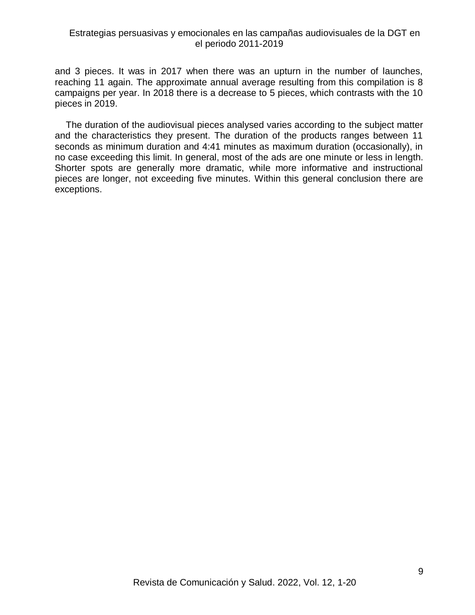and 3 pieces. It was in 2017 when there was an upturn in the number of launches, reaching 11 again. The approximate annual average resulting from this compilation is 8 campaigns per year. In 2018 there is a decrease to 5 pieces, which contrasts with the 10 pieces in 2019.

The duration of the audiovisual pieces analysed varies according to the subject matter and the characteristics they present. The duration of the products ranges between 11 seconds as minimum duration and 4:41 minutes as maximum duration (occasionally), in no case exceeding this limit. In general, most of the ads are one minute or less in length. Shorter spots are generally more dramatic, while more informative and instructional pieces are longer, not exceeding five minutes. Within this general conclusion there are exceptions.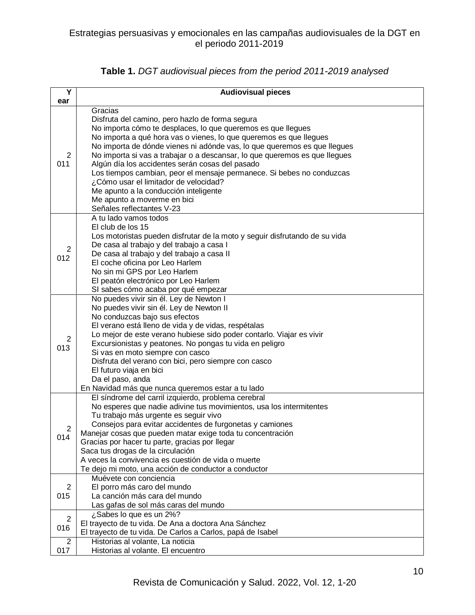| Y        | <b>Audiovisual pieces</b>                                                                                                                                                                                                                                                                                                                                                                                                                                                                                                                                                                                                            |
|----------|--------------------------------------------------------------------------------------------------------------------------------------------------------------------------------------------------------------------------------------------------------------------------------------------------------------------------------------------------------------------------------------------------------------------------------------------------------------------------------------------------------------------------------------------------------------------------------------------------------------------------------------|
| ear      |                                                                                                                                                                                                                                                                                                                                                                                                                                                                                                                                                                                                                                      |
| 2<br>011 | Gracias<br>Disfruta del camino, pero hazlo de forma segura<br>No importa cómo te desplaces, lo que queremos es que llegues<br>No importa a qué hora vas o vienes, lo que queremos es que llegues<br>No importa de dónde vienes ni adónde vas, lo que queremos es que llegues<br>No importa si vas a trabajar o a descansar, lo que queremos es que llegues<br>Algún día los accidentes serán cosas del pasado<br>Los tiempos cambian, peor el mensaje permanece. Si bebes no conduzcas<br>¿Cómo usar el limitador de velocidad?<br>Me apunto a la conducción inteligente<br>Me apunto a moverme en bici<br>Señales reflectantes V-23 |
| 2<br>012 | A tu lado vamos todos<br>El club de los 15<br>Los motoristas pueden disfrutar de la moto y seguir disfrutando de su vida<br>De casa al trabajo y del trabajo a casa I<br>De casa al trabajo y del trabajo a casa II<br>El coche oficina por Leo Harlem<br>No sin mi GPS por Leo Harlem<br>El peatón electrónico por Leo Harlem<br>SI sabes cómo acaba por qué empezar                                                                                                                                                                                                                                                                |
| 2<br>013 | No puedes vivir sin él. Ley de Newton I<br>No puedes vivir sin él. Ley de Newton II<br>No conduzcas bajo sus efectos<br>El verano está lleno de vida y de vidas, respétalas<br>Lo mejor de este verano hubiese sido poder contarlo. Viajar es vivir<br>Excursionistas y peatones. No pongas tu vida en peligro<br>Si vas en moto siempre con casco<br>Disfruta del verano con bici, pero siempre con casco<br>El futuro viaja en bici<br>Da el paso, anda<br>En Navidad más que nunca queremos estar a tu lado                                                                                                                       |
| 2<br>014 | El síndrome del carril izquierdo, problema cerebral<br>No esperes que nadie adivine tus movimientos, usa los intermitentes<br>Tu trabajo más urgente es seguir vivo<br>Consejos para evitar accidentes de furgonetas y camiones<br>Manejar cosas que pueden matar exige toda tu concentración<br>Gracias por hacer tu parte, gracias por llegar<br>Saca tus drogas de la circulación<br>A veces la convivencia es cuestión de vida o muerte<br>Te dejo mi moto, una acción de conductor a conductor                                                                                                                                  |
| 2<br>015 | Muévete con conciencia<br>El porro más caro del mundo<br>La canción más cara del mundo<br>Las gafas de sol más caras del mundo                                                                                                                                                                                                                                                                                                                                                                                                                                                                                                       |
| 2<br>016 | ¿Sabes lo que es un 2%?<br>El trayecto de tu vida. De Ana a doctora Ana Sánchez<br>El trayecto de tu vida. De Carlos a Carlos, papá de Isabel                                                                                                                                                                                                                                                                                                                                                                                                                                                                                        |
| 2<br>017 | Historias al volante, La noticia<br>Historias al volante. El encuentro                                                                                                                                                                                                                                                                                                                                                                                                                                                                                                                                                               |

# **Table 1.** *DGT audiovisual pieces from the period 2011-2019 analysed*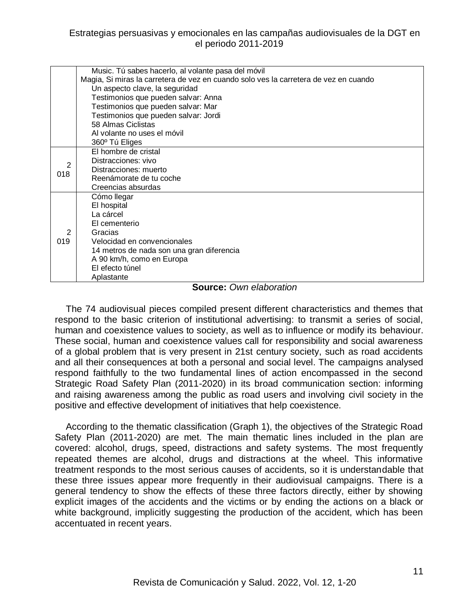|          | Music. Tú sabes hacerlo, al volante pasa del móvil                                   |
|----------|--------------------------------------------------------------------------------------|
|          | Magia, Si miras la carretera de vez en cuando solo ves la carretera de vez en cuando |
|          | Un aspecto clave, la seguridad                                                       |
|          | Testimonios que pueden salvar: Anna                                                  |
|          | Testimonios que pueden salvar: Mar                                                   |
|          | Testimonios que pueden salvar: Jordi                                                 |
|          | 58 Almas Ciclistas                                                                   |
|          | Al volante no uses el móvil                                                          |
|          | 360° Tú Eliges                                                                       |
| 2<br>018 | El hombre de cristal                                                                 |
|          | Distracciones: vivo                                                                  |
|          | Distracciones: muerto                                                                |
|          | Reenámorate de tu coche                                                              |
|          | Creencias absurdas                                                                   |
| 2<br>019 | Cómo llegar                                                                          |
|          | El hospital                                                                          |
|          | La cárcel                                                                            |
|          | El cementerio                                                                        |
|          | Gracias                                                                              |
|          | Velocidad en convencionales                                                          |
|          | 14 metros de nada son una gran diferencia                                            |
|          | A 90 km/h, como en Europa                                                            |
|          | El efecto túnel                                                                      |
|          |                                                                                      |
|          | Aplastante                                                                           |

#### **Source:** *Own elaboration*

The 74 audiovisual pieces compiled present different characteristics and themes that respond to the basic criterion of institutional advertising: to transmit a series of social, human and coexistence values to society, as well as to influence or modify its behaviour. These social, human and coexistence values call for responsibility and social awareness of a global problem that is very present in 21st century society, such as road accidents and all their consequences at both a personal and social level. The campaigns analysed respond faithfully to the two fundamental lines of action encompassed in the second Strategic Road Safety Plan (2011-2020) in its broad communication section: informing and raising awareness among the public as road users and involving civil society in the positive and effective development of initiatives that help coexistence.

According to the thematic classification (Graph 1), the objectives of the Strategic Road Safety Plan (2011-2020) are met. The main thematic lines included in the plan are covered: alcohol, drugs, speed, distractions and safety systems. The most frequently repeated themes are alcohol, drugs and distractions at the wheel. This informative treatment responds to the most serious causes of accidents, so it is understandable that these three issues appear more frequently in their audiovisual campaigns. There is a general tendency to show the effects of these three factors directly, either by showing explicit images of the accidents and the victims or by ending the actions on a black or white background, implicitly suggesting the production of the accident, which has been accentuated in recent years.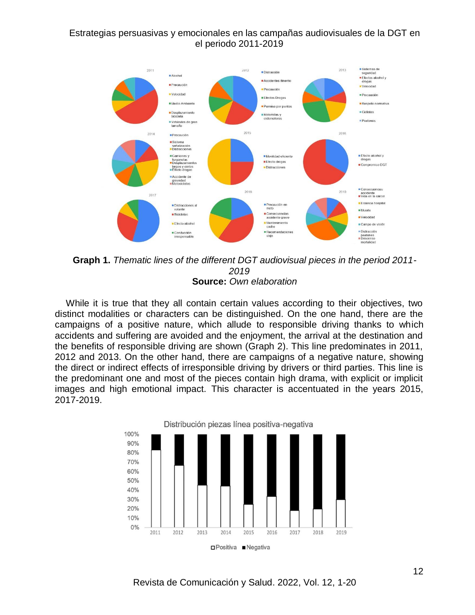

**Graph 1.** *Thematic lines of the different DGT audiovisual pieces in the period 2011- 2019* **Source:** *Own elaboration*

While it is true that they all contain certain values according to their objectives, two distinct modalities or characters can be distinguished. On the one hand, there are the campaigns of a positive nature, which allude to responsible driving thanks to which accidents and suffering are avoided and the enjoyment, the arrival at the destination and the benefits of responsible driving are shown (Graph 2). This line predominates in 2011, 2012 and 2013. On the other hand, there are campaigns of a negative nature, showing the direct or indirect effects of irresponsible driving by drivers or third parties. This line is the predominant one and most of the pieces contain high drama, with explicit or implicit images and high emotional impact. This character is accentuated in the years 2015, 2017-2019.

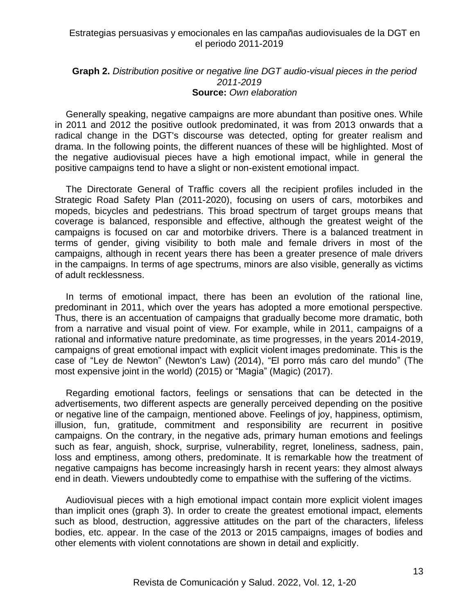#### **Graph 2.** *Distribution positive or negative line DGT audio-visual pieces in the period 2011-2019* **Source:** *Own elaboration*

Generally speaking, negative campaigns are more abundant than positive ones. While in 2011 and 2012 the positive outlook predominated, it was from 2013 onwards that a radical change in the DGT's discourse was detected, opting for greater realism and drama. In the following points, the different nuances of these will be highlighted. Most of the negative audiovisual pieces have a high emotional impact, while in general the positive campaigns tend to have a slight or non-existent emotional impact.

The Directorate General of Traffic covers all the recipient profiles included in the Strategic Road Safety Plan (2011-2020), focusing on users of cars, motorbikes and mopeds, bicycles and pedestrians. This broad spectrum of target groups means that coverage is balanced, responsible and effective, although the greatest weight of the campaigns is focused on car and motorbike drivers. There is a balanced treatment in terms of gender, giving visibility to both male and female drivers in most of the campaigns, although in recent years there has been a greater presence of male drivers in the campaigns. In terms of age spectrums, minors are also visible, generally as victims of adult recklessness.

In terms of emotional impact, there has been an evolution of the rational line, predominant in 2011, which over the years has adopted a more emotional perspective. Thus, there is an accentuation of campaigns that gradually become more dramatic, both from a narrative and visual point of view. For example, while in 2011, campaigns of a rational and informative nature predominate, as time progresses, in the years 2014-2019, campaigns of great emotional impact with explicit violent images predominate. This is the case of "Ley de Newton" (Newton's Law) (2014), "El porro más caro del mundo" (The most expensive joint in the world) (2015) or "Magia" (Magic) (2017).

Regarding emotional factors, feelings or sensations that can be detected in the advertisements, two different aspects are generally perceived depending on the positive or negative line of the campaign, mentioned above. Feelings of joy, happiness, optimism, illusion, fun, gratitude, commitment and responsibility are recurrent in positive campaigns. On the contrary, in the negative ads, primary human emotions and feelings such as fear, anguish, shock, surprise, vulnerability, regret, loneliness, sadness, pain, loss and emptiness, among others, predominate. It is remarkable how the treatment of negative campaigns has become increasingly harsh in recent years: they almost always end in death. Viewers undoubtedly come to empathise with the suffering of the victims.

Audiovisual pieces with a high emotional impact contain more explicit violent images than implicit ones (graph 3). In order to create the greatest emotional impact, elements such as blood, destruction, aggressive attitudes on the part of the characters, lifeless bodies, etc. appear. In the case of the 2013 or 2015 campaigns, images of bodies and other elements with violent connotations are shown in detail and explicitly.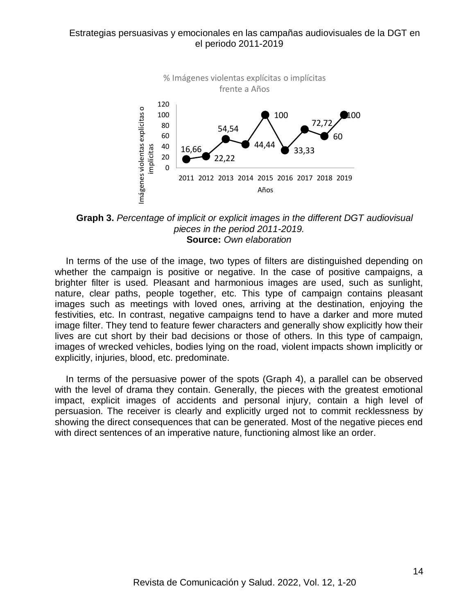

**Graph 3.** *Percentage of implicit or explicit images in the different DGT audiovisual pieces in the period 2011-2019.* **Source:** *Own elaboration*

In terms of the use of the image, two types of filters are distinguished depending on whether the campaign is positive or negative. In the case of positive campaigns, a brighter filter is used. Pleasant and harmonious images are used, such as sunlight, nature, clear paths, people together, etc. This type of campaign contains pleasant images such as meetings with loved ones, arriving at the destination, enjoying the festivities, etc. In contrast, negative campaigns tend to have a darker and more muted image filter. They tend to feature fewer characters and generally show explicitly how their lives are cut short by their bad decisions or those of others. In this type of campaign, images of wrecked vehicles, bodies lying on the road, violent impacts shown implicitly or explicitly, injuries, blood, etc. predominate.

In terms of the persuasive power of the spots (Graph 4), a parallel can be observed with the level of drama they contain. Generally, the pieces with the greatest emotional impact, explicit images of accidents and personal injury, contain a high level of persuasion. The receiver is clearly and explicitly urged not to commit recklessness by showing the direct consequences that can be generated. Most of the negative pieces end with direct sentences of an imperative nature, functioning almost like an order.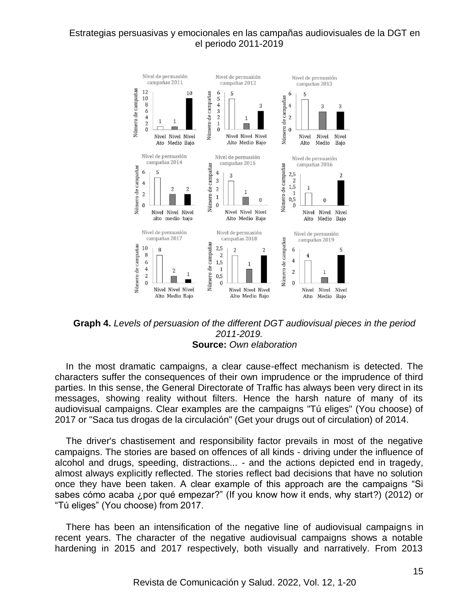

#### **Graph 4.** *Levels of persuasion of the different DGT audiovisual pieces in the period 2011-2019.* **Source:** *Own elaboration*

In the most dramatic campaigns, a clear cause-effect mechanism is detected. The characters suffer the consequences of their own imprudence or the imprudence of third parties. In this sense, the General Directorate of Traffic has always been very direct in its messages, showing reality without filters. Hence the harsh nature of many of its audiovisual campaigns. Clear examples are the campaigns "Tú eliges" (You choose) of 2017 or "Saca tus drogas de la circulación" (Get your drugs out of circulation) of 2014.

The driver's chastisement and responsibility factor prevails in most of the negative campaigns. The stories are based on offences of all kinds - driving under the influence of alcohol and drugs, speeding, distractions... - and the actions depicted end in tragedy, almost always explicitly reflected. The stories reflect bad decisions that have no solution once they have been taken. A clear example of this approach are the campaigns "Si sabes cómo acaba ¿por qué empezar?" (If you know how it ends, why start?) (2012) or "Tú eliges" (You choose) from 2017.

There has been an intensification of the negative line of audiovisual campaigns in recent years. The character of the negative audiovisual campaigns shows a notable hardening in 2015 and 2017 respectively, both visually and narratively. From 2013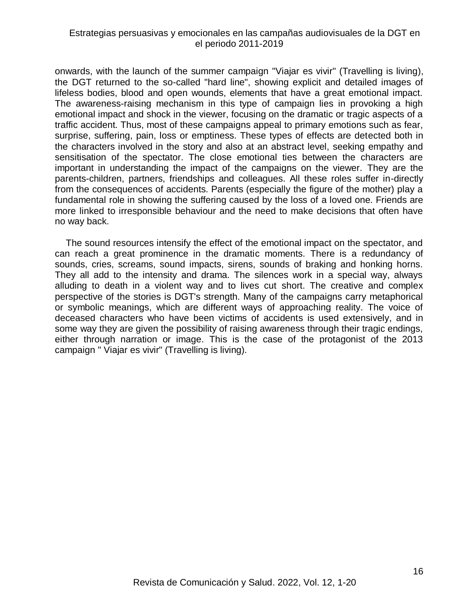onwards, with the launch of the summer campaign "Viajar es vivir" (Travelling is living), the DGT returned to the so-called "hard line", showing explicit and detailed images of lifeless bodies, blood and open wounds, elements that have a great emotional impact. The awareness-raising mechanism in this type of campaign lies in provoking a high emotional impact and shock in the viewer, focusing on the dramatic or tragic aspects of a traffic accident. Thus, most of these campaigns appeal to primary emotions such as fear, surprise, suffering, pain, loss or emptiness. These types of effects are detected both in the characters involved in the story and also at an abstract level, seeking empathy and sensitisation of the spectator. The close emotional ties between the characters are important in understanding the impact of the campaigns on the viewer. They are the parents-children, partners, friendships and colleagues. All these roles suffer in-directly from the consequences of accidents. Parents (especially the figure of the mother) play a fundamental role in showing the suffering caused by the loss of a loved one. Friends are more linked to irresponsible behaviour and the need to make decisions that often have no way back.

The sound resources intensify the effect of the emotional impact on the spectator, and can reach a great prominence in the dramatic moments. There is a redundancy of sounds, cries, screams, sound impacts, sirens, sounds of braking and honking horns. They all add to the intensity and drama. The silences work in a special way, always alluding to death in a violent way and to lives cut short. The creative and complex perspective of the stories is DGT's strength. Many of the campaigns carry metaphorical or symbolic meanings, which are different ways of approaching reality. The voice of deceased characters who have been victims of accidents is used extensively, and in some way they are given the possibility of raising awareness through their tragic endings, either through narration or image. This is the case of the protagonist of the 2013 campaign " Viajar es vivir" (Travelling is living).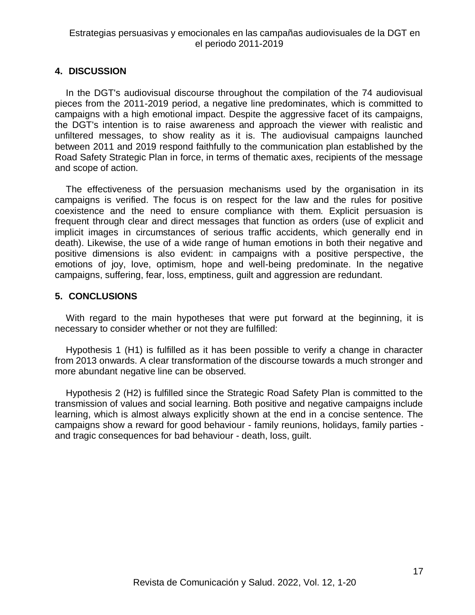## **4. DISCUSSION**

In the DGT's audiovisual discourse throughout the compilation of the 74 audiovisual pieces from the 2011-2019 period, a negative line predominates, which is committed to campaigns with a high emotional impact. Despite the aggressive facet of its campaigns, the DGT's intention is to raise awareness and approach the viewer with realistic and unfiltered messages, to show reality as it is. The audiovisual campaigns launched between 2011 and 2019 respond faithfully to the communication plan established by the Road Safety Strategic Plan in force, in terms of thematic axes, recipients of the message and scope of action.

The effectiveness of the persuasion mechanisms used by the organisation in its campaigns is verified. The focus is on respect for the law and the rules for positive coexistence and the need to ensure compliance with them. Explicit persuasion is frequent through clear and direct messages that function as orders (use of explicit and implicit images in circumstances of serious traffic accidents, which generally end in death). Likewise, the use of a wide range of human emotions in both their negative and positive dimensions is also evident: in campaigns with a positive perspective, the emotions of joy, love, optimism, hope and well-being predominate. In the negative campaigns, suffering, fear, loss, emptiness, guilt and aggression are redundant.

## **5. CONCLUSIONS**

With regard to the main hypotheses that were put forward at the beginning, it is necessary to consider whether or not they are fulfilled:

Hypothesis 1 (H1) is fulfilled as it has been possible to verify a change in character from 2013 onwards. A clear transformation of the discourse towards a much stronger and more abundant negative line can be observed.

Hypothesis 2 (H2) is fulfilled since the Strategic Road Safety Plan is committed to the transmission of values and social learning. Both positive and negative campaigns include learning, which is almost always explicitly shown at the end in a concise sentence. The campaigns show a reward for good behaviour - family reunions, holidays, family parties and tragic consequences for bad behaviour - death, loss, guilt.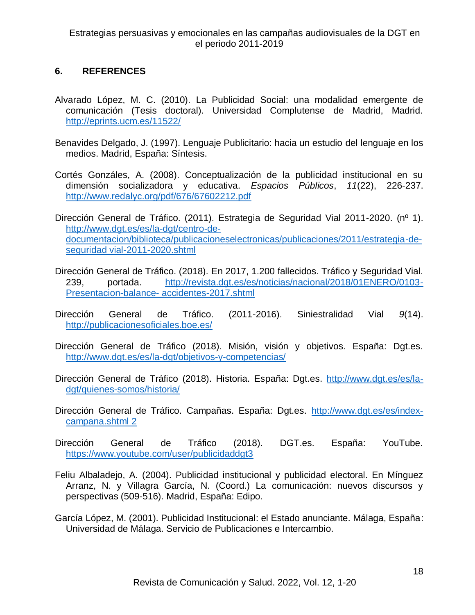# **6. REFERENCES**

- Alvarado López, M. C. (2010). La Publicidad Social: una modalidad emergente de comunicación (Tesis doctoral). Universidad Complutense de Madrid, Madrid. <http://eprints.ucm.es/11522/>
- Benavides Delgado, J. (1997). Lenguaje Publicitario: hacia un estudio del lenguaje en los medios. Madrid, España: Síntesis.
- Cortés Gonzáles, A. (2008). Conceptualización de la publicidad institucional en su dimensión socializadora y educativa. *Espacios Públicos*, *11*(22), 226-237. <http://www.redalyc.org/pdf/676/67602212.pdf>
- Dirección General de Tráfico. (2011). Estrategia de Seguridad Vial 2011-2020. (nº 1). [http://www.dgt.es/es/la-dgt/centro-de](http://www.dgt.es/es/la-dgt/centro-de-documentacion/biblioteca/publicacioneselectronicas/publicaciones/2011/estrategia-de-seguridad%20vial-2011-2020.shtml)[documentacion/biblioteca/publicacioneselectronicas/publicaciones/2011/estrategia-de](http://www.dgt.es/es/la-dgt/centro-de-documentacion/biblioteca/publicacioneselectronicas/publicaciones/2011/estrategia-de-seguridad%20vial-2011-2020.shtml)[seguridad vial-2011-2020.shtml](http://www.dgt.es/es/la-dgt/centro-de-documentacion/biblioteca/publicacioneselectronicas/publicaciones/2011/estrategia-de-seguridad%20vial-2011-2020.shtml)
- Dirección General de Tráfico. (2018). En 2017, 1.200 fallecidos. Tráfico y Seguridad Vial. 239, portada. [http://revista.dgt.es/es/noticias/nacional/2018/01ENERO/0103-](http://revista.dgt.es/es/noticias/nacional/2018/01ENERO/0103-Presentacion-balance-%20accidentes-2017.shtml) [Presentacion-balance-](http://revista.dgt.es/es/noticias/nacional/2018/01ENERO/0103-Presentacion-balance-%20accidentes-2017.shtml) accidentes-2017.shtml
- Dirección General de Tráfico. (2011-2016). Siniestralidad Vial *9*(14). <http://publicacionesoficiales.boe.es/>
- Dirección General de Tráfico (2018). Misión, visión y objetivos. España: Dgt.es. <http://www.dgt.es/es/la-dgt/objetivos-y-competencias/>
- Dirección General de Tráfico (2018). Historia. España: Dgt.es. [http://www.dgt.es/es/la](http://www.dgt.es/es/la-dgt/quienes-somos/historia/)[dgt/quienes-somos/historia/](http://www.dgt.es/es/la-dgt/quienes-somos/historia/)
- Dirección General de Tráfico. Campañas. España: Dgt.es. [http://www.dgt.es/es/index](http://www.dgt.es/es/index-campana.shtml%202)[campana.shtml 2](http://www.dgt.es/es/index-campana.shtml%202)
- Dirección General de Tráfico (2018). DGT.es. España: YouTube. <https://www.youtube.com/user/publicidaddgt3>
- Feliu Albaladejo, A. (2004). Publicidad institucional y publicidad electoral. En Mínguez Arranz, N. y Villagra García, N. (Coord.) La comunicación: nuevos discursos y perspectivas (509-516). Madrid, España: Edipo.
- García López, M. (2001). Publicidad Institucional: el Estado anunciante. Málaga, España: Universidad de Málaga. Servicio de Publicaciones e Intercambio.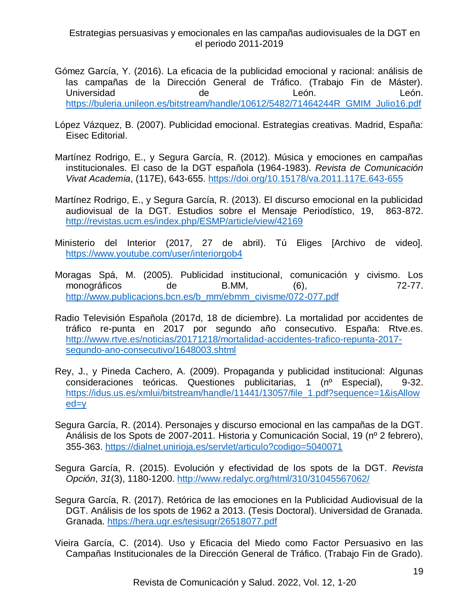- Gómez García, Y. (2016). La eficacia de la publicidad emocional y racional: análisis de las campañas de la Dirección General de Tráfico. (Trabajo Fin de Máster). Universidad de León. León. [https://buleria.unileon.es/bitstream/handle/10612/5482/71464244R\\_GMIM\\_Julio16.pdf](https://buleria.unileon.es/bitstream/handle/10612/5482/71464244R_GMIM_Julio16.pdf)
- López Vázquez, B. (2007). Publicidad emocional. Estrategias creativas. Madrid, España: Eisec Editorial.
- Martínez Rodrigo, E., y Segura García, R. (2012). Música y emociones en campañas institucionales. El caso de la DGT española (1964-1983). *Revista de Comunicación Vivat Academia*, (117E), 643-655.<https://doi.org/10.15178/va.2011.117E.643-655>
- Martínez Rodrigo, E., y Segura García, R. (2013). El discurso emocional en la publicidad audiovisual de la DGT. Estudios sobre el Mensaje Periodístico, 19, 863-872. <http://revistas.ucm.es/index.php/ESMP/article/view/42169>
- Ministerio del Interior (2017, 27 de abril). Tú Eliges [Archivo de video]. <https://www.youtube.com/user/interiorgob4>
- Moragas Spá, M. (2005). Publicidad institucional, comunicación y civismo. Los monográficos de B.MM, (6), 72-77. [http://www.publicacions.bcn.es/b\\_mm/ebmm\\_civisme/072-077.pdf](http://www.publicacions.bcn.es/b_mm/ebmm_civisme/072-077.pdf)
- Radio Televisión Española (2017d, 18 de diciembre). La mortalidad por accidentes de tráfico re-punta en 2017 por segundo año consecutivo. España: Rtve.es. [http://www.rtve.es/noticias/20171218/mortalidad-accidentes-trafico-repunta-2017](http://www.rtve.es/noticias/20171218/mortalidad-accidentes-trafico-repunta-2017-%20segundo-ano-consecutivo/1648003.shtml) [segundo-ano-consecutivo/1648003.shtml](http://www.rtve.es/noticias/20171218/mortalidad-accidentes-trafico-repunta-2017-%20segundo-ano-consecutivo/1648003.shtml)
- Rey, J., y Pineda Cachero, A. (2009). Propaganda y publicidad institucional: Algunas consideraciones teóricas. Questiones publicitarias, 1 (nº Especial), 9-32. [https://idus.us.es/xmlui/bitstream/handle/11441/13057/file\\_1.pdf?sequence=1&isAllow](https://idus.us.es/xmlui/bitstream/handle/11441/13057/file_1.pdf?sequence=1&isAllowed=y) [ed=y](https://idus.us.es/xmlui/bitstream/handle/11441/13057/file_1.pdf?sequence=1&isAllowed=y)
- Segura García, R. (2014). Personajes y discurso emocional en las campañas de la DGT. Análisis de los Spots de 2007-2011. Historia y Comunicación Social, 19 (nº 2 febrero), 355-363.<https://dialnet.unirioja.es/servlet/articulo?codigo=5040071>
- Segura García, R. (2015). Evolución y efectividad de los spots de la DGT. *Revista Opción*, *31*(3), 1180-1200.<http://www.redalyc.org/html/310/31045567062/>
- Segura García, R. (2017). Retórica de las emociones en la Publicidad Audiovisual de la DGT. Análisis de los spots de 1962 a 2013. (Tesis Doctoral). Universidad de Granada. Granada.<https://hera.ugr.es/tesisugr/26518077.pdf>
- Vieira García, C. (2014). Uso y Eficacia del Miedo como Factor Persuasivo en las Campañas Institucionales de la Dirección General de Tráfico. (Trabajo Fin de Grado).